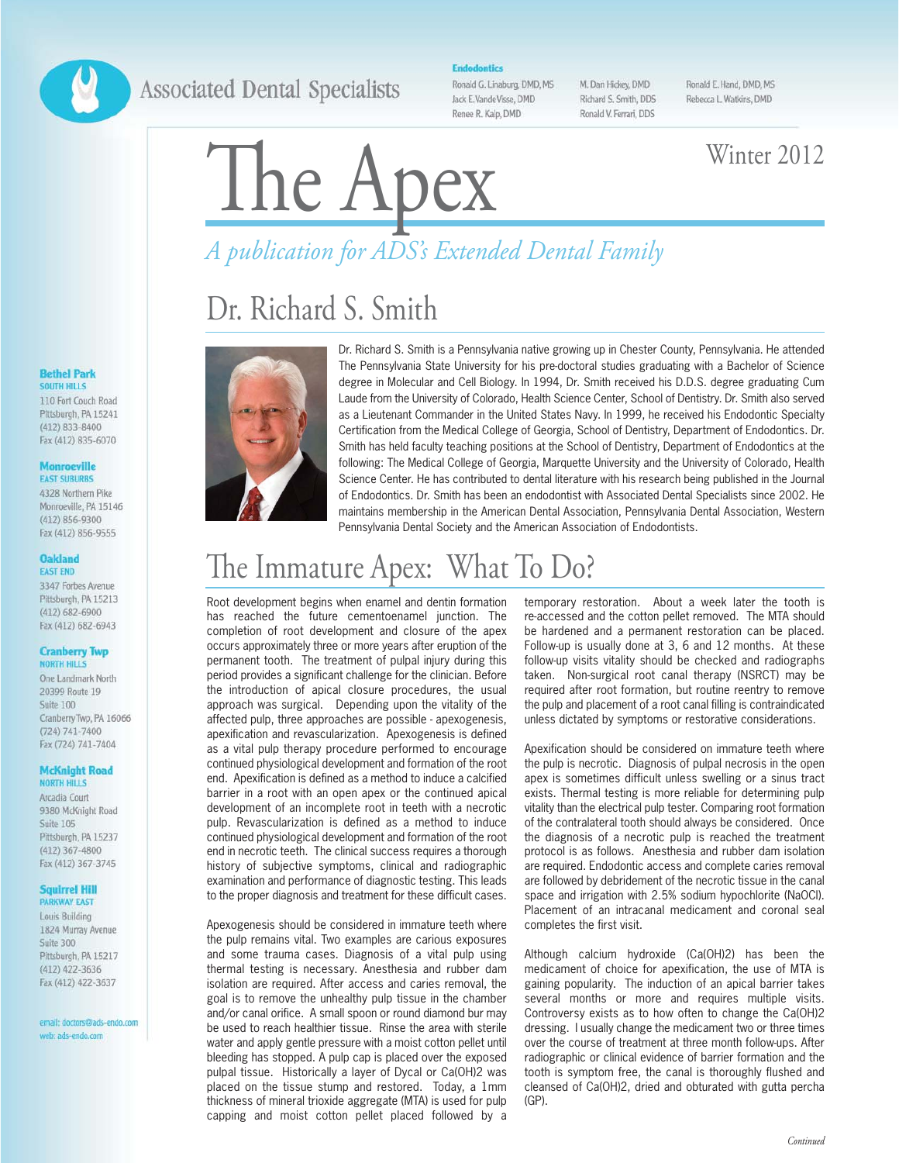## **Associated Dental Specialists**

#### **Endodontics**

Ronald G. Linaburg, DMD, MS Jack E.VandeVisse, DMD Renee R. Kalp, DMD

M. Dan Hickey, DMD Richard S. Smith, DDS Ronald V. Ferrari, DDS Ronald E. Hand, DMD, MS Rebecca L. Watkins, DMD

# The Apex Winter 2012

# *A publication for ADS's Extended Dental Family*

## Dr. Richard S. Smith



Dr. Richard S. Smith is a Pennsylvania native growing up in Chester County, Pennsylvania. He attended The Pennsylvania State University for his pre-doctoral studies graduating with a Bachelor of Science degree in Molecular and Cell Biology. In 1994, Dr. Smith received his D.D.S. degree graduating Cum Laude from the University of Colorado, Health Science Center, School of Dentistry. Dr. Smith also served as a Lieutenant Commander in the United States Navy. In 1999, he received his Endodontic Specialty Certification from the Medical College of Georgia, School of Dentistry, Department of Endodontics. Dr. Smith has held faculty teaching positions at the School of Dentistry, Department of Endodontics at the following: The Medical College of Georgia, Marquette University and the University of Colorado, Health Science Center. He has contributed to dental literature with his research being published in the Journal of Endodontics. Dr. Smith has been an endodontist with Associated Dental Specialists since 2002. He maintains membership in the American Dental Association, Pennsylvania Dental Association, Western Pennsylvania Dental Society and the American Association of Endodontists.

## The Immature Apex: What To Do?

Root development begins when enamel and dentin formation has reached the future cementoenamel iunction. The completion of root development and closure of the apex occurs approximately three or more years after eruption of the permanent tooth. The treatment of pulpal injury during this period provides a significant challenge for the clinician. Before the introduction of apical closure procedures, the usual approach was surgical. Depending upon the vitality of the affected pulp, three approaches are possible - apexogenesis, apexification and revascularization. Apexogenesis is defined as a vital pulp therapy procedure performed to encourage continued physiological development and formation of the root end. Apexification is defined as a method to induce a calcified barrier in a root with an open apex or the continued apical development of an incomplete root in teeth with a necrotic pulp. Revascularization is defined as a method to induce continued physiological development and formation of the root end in necrotic teeth. The clinical success requires a thorough history of subjective symptoms, clinical and radiographic examination and performance of diagnostic testing. This leads to the proper diagnosis and treatment for these difficult cases.

Apexogenesis should be considered in immature teeth where the pulp remains vital. Two examples are carious exposures and some trauma cases. Diagnosis of a vital pulp using thermal testing is necessary. Anesthesia and rubber dam isolation are required. After access and caries removal, the goal is to remove the unhealthy pulp tissue in the chamber and/or canal orifice. A small spoon or round diamond bur may be used to reach healthier tissue. Rinse the area with sterile water and apply gentle pressure with a moist cotton pellet until bleeding has stopped. A pulp cap is placed over the exposed pulpal tissue. Historically a layer of Dycal or Ca(OH)2 was placed on the tissue stump and restored. Today, a 1mm thickness of mineral trioxide aggregate (MTA) is used for pulp capping and moist cotton pellet placed followed by a temporary restoration. About a week later the tooth is re-accessed and the cotton pellet removed. The MTA should be hardened and a permanent restoration can be placed. Follow-up is usually done at 3, 6 and 12 months. At these follow-up visits vitality should be checked and radiographs taken. Non-surgical root canal therapy (NSRCT) may be required after root formation, but routine reentry to remove the pulp and placement of a root canal filling is contraindicated unless dictated by symptoms or restorative considerations.

Apexification should be considered on immature teeth where the pulp is necrotic. Diagnosis of pulpal necrosis in the open apex is sometimes difficult unless swelling or a sinus tract exists. Thermal testing is more reliable for determining pulp vitality than the electrical pulp tester. Comparing root formation of the contralateral tooth should always be considered. Once the diagnosis of a necrotic pulp is reached the treatment protocol is as follows. Anesthesia and rubber dam isolation are required. Endodontic access and complete caries removal are followed by debridement of the necrotic tissue in the canal space and irrigation with 2.5% sodium hypochlorite (NaOCl). Placement of an intracanal medicament and coronal seal completes the first visit.

Although calcium hydroxide (Ca(OH)2) has been the medicament of choice for apexification, the use of MTA is gaining popularity. The induction of an apical barrier takes several months or more and requires multiple visits. Controversy exists as to how often to change the Ca(OH)2 dressing. I usually change the medicament two or three times over the course of treatment at three month follow-ups. After radiographic or clinical evidence of barrier formation and the tooth is symptom free, the canal is thoroughly flushed and cleansed of Ca(OH)2, dried and obturated with gutta percha (GP).

#### **Bethel Park SOUTH HILLS** 110 Fort Couch Road

Pittsburgh, PA 15241 (412) 833-8400 Fax (412) 835-6070

#### **Monroeville EAST SUBURBS**

4328 Northern Pike Monroeville, PA 15146 (412) 856-9300 Fax (412) 856-9555

#### **Oakland FAST FND**

3347 Forbes Avenue Pittsburgh, PA 15213  $(412)$  682-6900 Fax (412) 682-6943

#### **Cranberry Twp NORTH HILLS**

One Landmark North 20399 Route 19 Suite 100 Cranberry Twp, PA 16066 (724) 741-7400 Fax (724) 741-7404

#### **McKnight Road**

**NORTH HILLS** Arcadia Court 9380 McKnight Road Suite 105 Pittsburgh, PA 15237 (412) 367-4800 Fax (412) 367-3745

#### **Squirrel Hill PARKWAY EAST**

Louis Building 1824 Murray Avenue Suite 300 Pittsburgh, PA 15217 (412) 422-3636 Fax (412) 422-3637

email: doctors@ads-endo.com web: ads-endo.com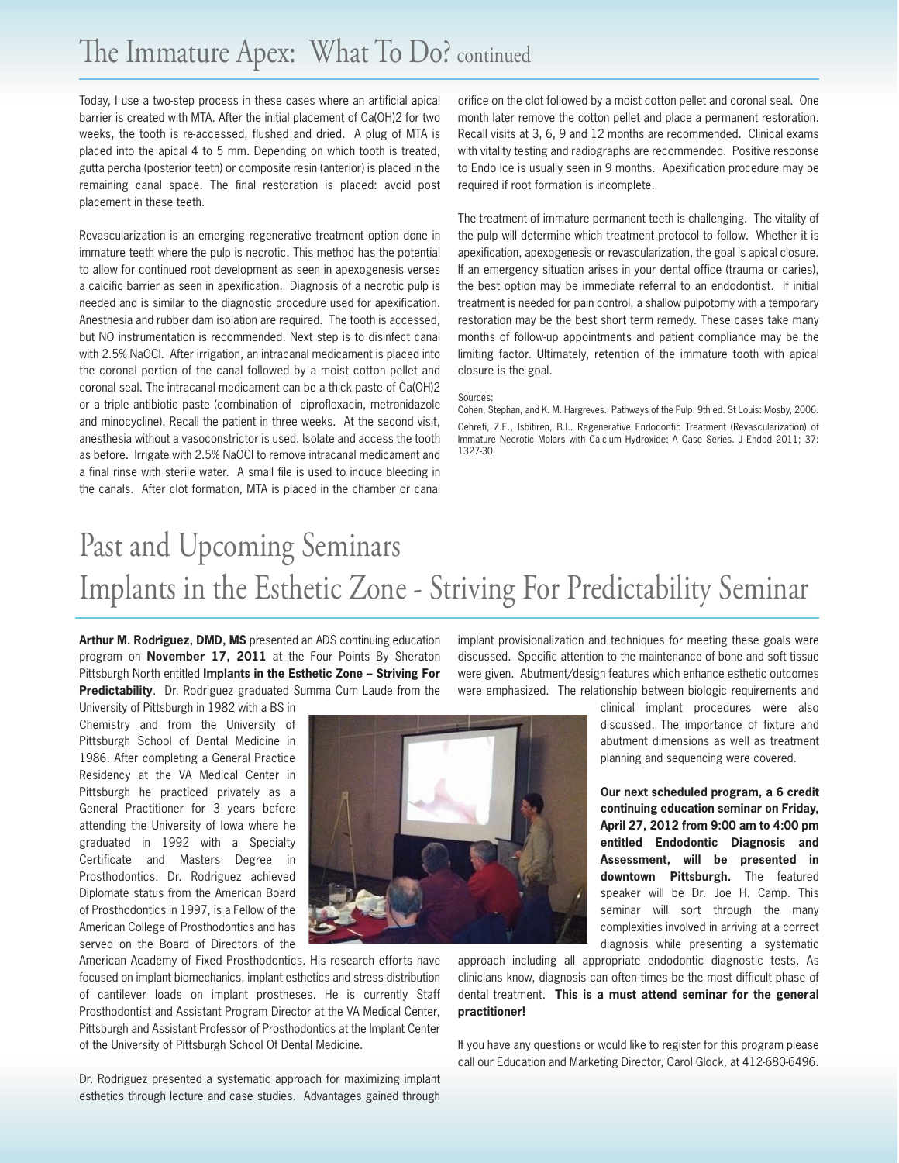Today, I use a two-step process in these cases where an artificial apical barrier is created with MTA. After the initial placement of Ca(OH)2 for two weeks, the tooth is re-accessed, flushed and dried. A plug of MTA is placed into the apical 4 to 5 mm. Depending on which tooth is treated, gutta percha (posterior teeth) or composite resin (anterior) is placed in the remaining canal space. The final restoration is placed: avoid post placement in these teeth.

Revascularization is an emerging regenerative treatment option done in immature teeth where the pulp is necrotic. This method has the potential to allow for continued root development as seen in apexogenesis verses a calcific barrier as seen in apexification. Diagnosis of a necrotic pulp is needed and is similar to the diagnostic procedure used for apexification. Anesthesia and rubber dam isolation are required. The tooth is accessed, but NO instrumentation is recommended. Next step is to disinfect canal with 2.5% NaOCl. After irrigation, an intracanal medicament is placed into the coronal portion of the canal followed by a moist cotton pellet and coronal seal. The intracanal medicament can be a thick paste of Ca(OH)2 or a triple antibiotic paste (combination of ciprofloxacin, metronidazole and minocycline). Recall the patient in three weeks. At the second visit, anesthesia without a vasoconstrictor is used. Isolate and access the tooth as before. Irrigate with 2.5% NaOCl to remove intracanal medicament and a final rinse with sterile water. A small file is used to induce bleeding in the canals. After clot formation, MTA is placed in the chamber or canal

orifice on the clot followed by a moist cotton pellet and coronal seal. One month later remove the cotton pellet and place a permanent restoration. Recall visits at 3, 6, 9 and 12 months are recommended. Clinical exams with vitality testing and radiographs are recommended. Positive response to Endo Ice is usually seen in 9 months. Apexification procedure may be required if root formation is incomplete.

The treatment of immature permanent teeth is challenging. The vitality of the pulp will determine which treatment protocol to follow. Whether it is apexification, apexogenesis or revascularization, the goal is apical closure. If an emergency situation arises in your dental office (trauma or caries), the best option may be immediate referral to an endodontist. If initial treatment is needed for pain control, a shallow pulpotomy with a temporary restoration may be the best short term remedy. These cases take many months of follow-up appointments and patient compliance may be the limiting factor. Ultimately, retention of the immature tooth with apical closure is the goal.

#### Sources:

Cohen, Stephan, and K. M. Hargreves. Pathways of the Pulp. 9th ed. St Louis: Mosby, 2006. Cehreti, Z.E., Isbitiren, B.I.. Regenerative Endodontic Treatment (Revascularization) of Immature Necrotic Molars with Calcium Hydroxide: A Case Series. J Endod 2011; 37: 1327-30.

## Past and Upcoming Seminars Implants in the Esthetic Zone - Striving For Predictability Seminar

**Arthur M. Rodriguez, DMD, MS** presented an ADS continuing education program on **November 17, 2011** at the Four Points By Sheraton Pittsburgh North entitled **Implants in the Esthetic Zone – Striving For Predictability**. Dr. Rodriguez graduated Summa Cum Laude from the

University of Pittsburgh in 1982 with a BS in Chemistry and from the University of Pittsburgh School of Dental Medicine in 1986. After completing a General Practice Residency at the VA Medical Center in Pittsburgh he practiced privately as a General Practitioner for 3 years before attending the University of Iowa where he graduated in 1992 with a Specialty Certificate and Masters Degree in Prosthodontics. Dr. Rodriguez achieved Diplomate status from the American Board of Prosthodontics in 1997, is a Fellow of the American College of Prosthodontics and has served on the Board of Directors of the



American Academy of Fixed Prosthodontics. His research efforts have focused on implant biomechanics, implant esthetics and stress distribution of cantilever loads on implant prostheses. He is currently Staff Prosthodontist and Assistant Program Director at the VA Medical Center, Pittsburgh and Assistant Professor of Prosthodontics at the Implant Center of the University of Pittsburgh School Of Dental Medicine.

Dr. Rodriguez presented a systematic approach for maximizing implant esthetics through lecture and case studies. Advantages gained through

implant provisionalization and techniques for meeting these goals were discussed. Specific attention to the maintenance of bone and soft tissue were given. Abutment/design features which enhance esthetic outcomes were emphasized. The relationship between biologic requirements and

> clinical implant procedures were also discussed. The importance of fixture and abutment dimensions as well as treatment planning and sequencing were covered.

> **Our next scheduled program, a 6 credit continuing education seminar on Friday, April 27, 2012 from 9:00 am to 4:00 pm entitled Endodontic Diagnosis and Assessment, will be presented in downtown Pittsburgh.** The featured speaker will be Dr. Joe H. Camp. This seminar will sort through the many complexities involved in arriving at a correct diagnosis while presenting a systematic

approach including all appropriate endodontic diagnostic tests. As clinicians know, diagnosis can often times be the most difficult phase of dental treatment. **This is a must attend seminar for the general practitioner!** 

If you have any questions or would like to register for this program please call our Education and Marketing Director, Carol Glock, at 412-680-6496.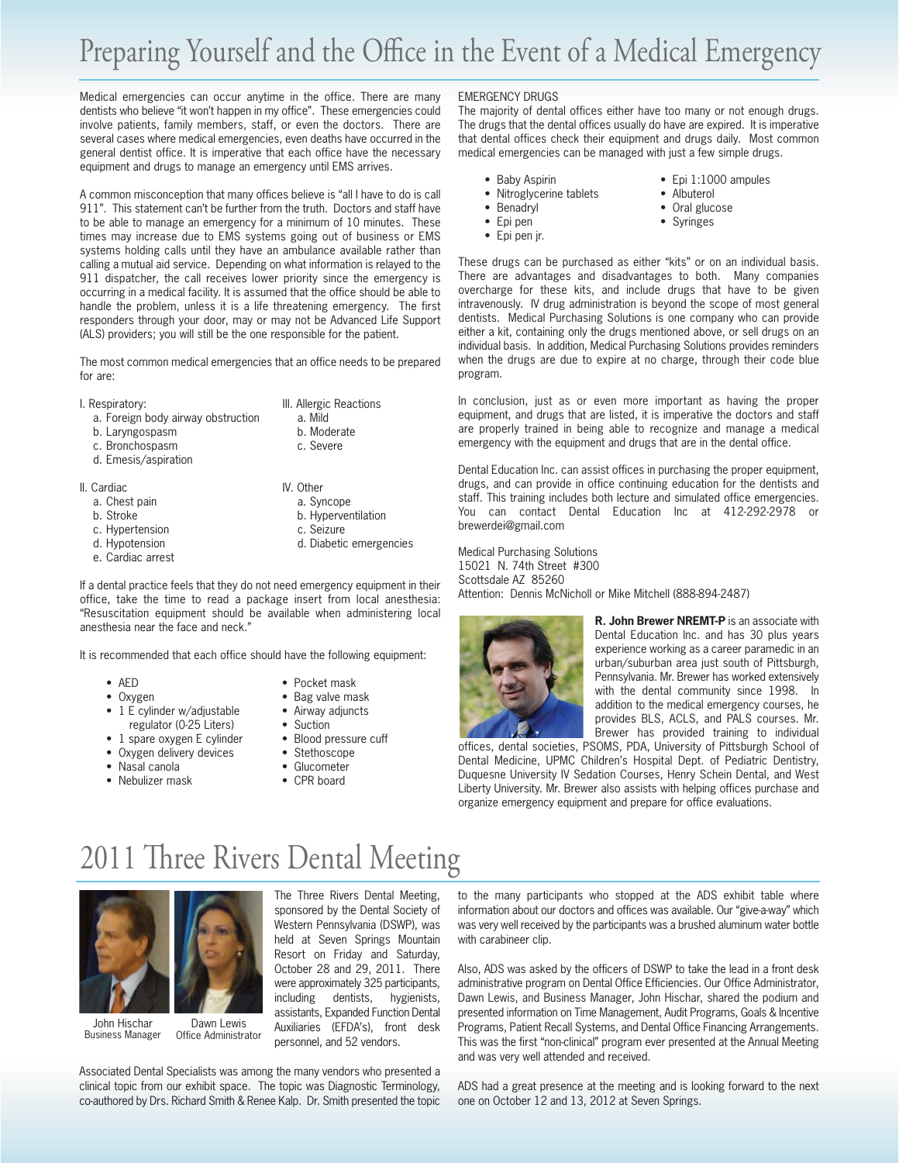Medical emergencies can occur anytime in the office. There are many dentists who believe "it won't happen in my office". These emergencies could involve patients, family members, staff, or even the doctors. There are several cases where medical emergencies, even deaths have occurred in the general dentist office. It is imperative that each office have the necessary equipment and drugs to manage an emergency until EMS arrives.

A common misconception that many offices believe is "all I have to do is call 911". This statement can't be further from the truth. Doctors and staff have to be able to manage an emergency for a minimum of 10 minutes. These times may increase due to EMS systems going out of business or EMS systems holding calls until they have an ambulance available rather than calling a mutual aid service. Depending on what information is relayed to the 911 dispatcher, the call receives lower priority since the emergency is occurring in a medical facility. It is assumed that the office should be able to handle the problem, unless it is a life threatening emergency. The first responders through your door, may or may not be Advanced Life Support (ALS) providers; you will still be the one responsible for the patient.

The most common medical emergencies that an office needs to be prepared for are:

- II. Respiratory: **III. Allergic Reactions** 
	- a. Foreign body airway obstruction a. Mild
	- b. Laryngospasm b. Moderate
	- c. Bronchospasm c. Severe
	- d. Emesis/aspiration
- II. Cardiac **IV. Other** 
	-
	-
	- c. Hypertension c. Seizure
	-
	- e. Cardiac arrest
- 
- 
- 
- 
- a. Chest pain a. Syncope
- b. Stroke b. Hyperventilation
	-
- d. Hypotension d. Diabetic emergencies

If a dental practice feels that they do not need emergency equipment in their office, take the time to read a package insert from local anesthesia: "Resuscitation equipment should be available when administering local anesthesia near the face and neck."

It is recommended that each office should have the following equipment:

- AED Pocket mask
- 
- 1 E cylinder w/adjustable Airway adjuncts
- regulator (0-25 Liters) Suction
- 
- Oxygen delivery devices Stethoscope
- 
- Nebulizer mask CPR board
- Oxygen Bag valve mask
	-
	-
- 1 spare oxygen E cylinder Blood pressure cuff
	-
- Nasal canola Glucometer
	-

#### EMERGENCY DRUGS

The majority of dental offices either have too many or not enough drugs. The drugs that the dental offices usually do have are expired. It is imperative that dental offices check their equipment and drugs daily. Most common medical emergencies can be managed with just a few simple drugs.

- Baby Aspirin Epi 1:1000 ampules
- Nitroglycerine tablets Albuterol<br>• Benadryl Oral gluc
- 
- 
- 
- Oral glucose
- 
- Epi pen jr.
- Epi pen Syringes

These drugs can be purchased as either "kits" or on an individual basis. There are advantages and disadvantages to both. Many companies overcharge for these kits, and include drugs that have to be given intravenously. IV drug administration is beyond the scope of most general dentists. Medical Purchasing Solutions is one company who can provide either a kit, containing only the drugs mentioned above, or sell drugs on an individual basis. In addition, Medical Purchasing Solutions provides reminders when the drugs are due to expire at no charge, through their code blue program.

In conclusion, just as or even more important as having the proper equipment, and drugs that are listed, it is imperative the doctors and staff are properly trained in being able to recognize and manage a medical emergency with the equipment and drugs that are in the dental office.

Dental Education Inc. can assist offices in purchasing the proper equipment, drugs, and can provide in office continuing education for the dentists and staff. This training includes both lecture and simulated office emergencies. You can contact Dental Education Inc at 412-292-2978 or brewerdei@gmail.com

Medical Purchasing Solutions 15021 N. 74th Street #300 Scottsdale AZ 85260 Attention: Dennis McNicholl or Mike Mitchell (888-894-2487)



**R. John Brewer NREMT-P** is an associate with Dental Education Inc. and has 30 plus years experience working as a career paramedic in an urban/suburban area just south of Pittsburgh, Pennsylvania. Mr. Brewer has worked extensively with the dental community since 1998. In addition to the medical emergency courses, he provides BLS, ACLS, and PALS courses. Mr. Brewer has provided training to individual

offices, dental societies, PSOMS, PDA, University of Pittsburgh School of Dental Medicine, UPMC Children's Hospital Dept. of Pediatric Dentistry, Duquesne University IV Sedation Courses, Henry Schein Dental, and West Liberty University. Mr. Brewer also assists with helping offices purchase and organize emergency equipment and prepare for office evaluations.

## 2011 Three Rivers Dental Meeting



John Hischar Business Manager Dawn Lewis Office Administrator

The Three Rivers Dental Meeting, sponsored by the Dental Society of Western Pennsylvania (DSWP), was held at Seven Springs Mountain Resort on Friday and Saturday, October 28 and 29, 2011. There were approximately 325 participants, including dentists, hygienists, assistants, Expanded Function Dental Auxiliaries (EFDA's), front desk personnel, and 52 vendors.

Associated Dental Specialists was among the many vendors who presented a clinical topic from our exhibit space. The topic was Diagnostic Terminology, co-authored by Drs. Richard Smith & Renee Kalp. Dr. Smith presented the topic

to the many participants who stopped at the ADS exhibit table where information about our doctors and offices was available. Our "give-a-way" which was very well received by the participants was a brushed aluminum water bottle with carabineer clip.

Also, ADS was asked by the officers of DSWP to take the lead in a front desk administrative program on Dental Office Efficiencies. Our Office Administrator, Dawn Lewis, and Business Manager, John Hischar, shared the podium and presented information on Time Management, Audit Programs, Goals & Incentive Programs, Patient Recall Systems, and Dental Office Financing Arrangements. This was the first "non-clinical" program ever presented at the Annual Meeting and was very well attended and received.

ADS had a great presence at the meeting and is looking forward to the next one on October 12 and 13, 2012 at Seven Springs.

- 
- 
- 
-